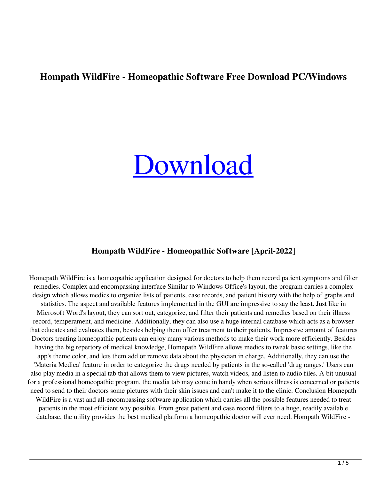# **Hompath WildFire - Homeopathic Software Free Download PC/Windows**

# [Download](http://evacdir.com/bewitched/solely/annapuma.SG9tcGF0aCBXaWxkRmlyZSAtIEhvbWVvcGF0aGljIFNvZnR3YXJlSG9?curser&messier=ZG93bmxvYWR8Mzh6WVhBd2ZId3hOalUyTURJeE1qQTJmSHd5TlRrd2ZId29UU2tnVjI5eVpIQnlaWE56SUZ0WVRVeFNVRU1nVmpJZ1VFUkdYUQ)

### **Hompath WildFire - Homeopathic Software [April-2022]**

Homepath WildFire is a homeopathic application designed for doctors to help them record patient symptoms and filter remedies. Complex and encompassing interface Similar to Windows Office's layout, the program carries a complex design which allows medics to organize lists of patients, case records, and patient history with the help of graphs and statistics. The aspect and available features implemented in the GUI are impressive to say the least. Just like in Microsoft Word's layout, they can sort out, categorize, and filter their patients and remedies based on their illness record, temperament, and medicine. Additionally, they can also use a huge internal database which acts as a browser that educates and evaluates them, besides helping them offer treatment to their patients. Impressive amount of features Doctors treating homeopathic patients can enjoy many various methods to make their work more efficiently. Besides having the big repertory of medical knowledge, Homepath WildFire allows medics to tweak basic settings, like the app's theme color, and lets them add or remove data about the physician in charge. Additionally, they can use the 'Materia Medica' feature in order to categorize the drugs needed by patients in the so-called 'drug ranges.' Users can also play media in a special tab that allows them to view pictures, watch videos, and listen to audio files. A bit unusual for a professional homeopathic program, the media tab may come in handy when serious illness is concerned or patients need to send to their doctors some pictures with their skin issues and can't make it to the clinic. Conclusion Homepath WildFire is a vast and all-encompassing software application which carries all the possible features needed to treat patients in the most efficient way possible. From great patient and case record filters to a huge, readily available database, the utility provides the best medical platform a homeopathic doctor will ever need. Hompath WildFire -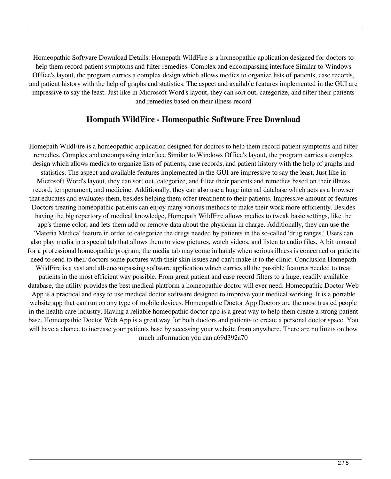Homeopathic Software Download Details: Homepath WildFire is a homeopathic application designed for doctors to help them record patient symptoms and filter remedies. Complex and encompassing interface Similar to Windows Office's layout, the program carries a complex design which allows medics to organize lists of patients, case records, and patient history with the help of graphs and statistics. The aspect and available features implemented in the GUI are impressive to say the least. Just like in Microsoft Word's layout, they can sort out, categorize, and filter their patients and remedies based on their illness record

#### **Hompath WildFire - Homeopathic Software Free Download**

Homepath WildFire is a homeopathic application designed for doctors to help them record patient symptoms and filter remedies. Complex and encompassing interface Similar to Windows Office's layout, the program carries a complex design which allows medics to organize lists of patients, case records, and patient history with the help of graphs and statistics. The aspect and available features implemented in the GUI are impressive to say the least. Just like in Microsoft Word's layout, they can sort out, categorize, and filter their patients and remedies based on their illness record, temperament, and medicine. Additionally, they can also use a huge internal database which acts as a browser that educates and evaluates them, besides helping them offer treatment to their patients. Impressive amount of features Doctors treating homeopathic patients can enjoy many various methods to make their work more efficiently. Besides having the big repertory of medical knowledge, Homepath WildFire allows medics to tweak basic settings, like the app's theme color, and lets them add or remove data about the physician in charge. Additionally, they can use the 'Materia Medica' feature in order to categorize the drugs needed by patients in the so-called 'drug ranges.' Users can also play media in a special tab that allows them to view pictures, watch videos, and listen to audio files. A bit unusual for a professional homeopathic program, the media tab may come in handy when serious illness is concerned or patients need to send to their doctors some pictures with their skin issues and can't make it to the clinic. Conclusion Homepath WildFire is a vast and all-encompassing software application which carries all the possible features needed to treat patients in the most efficient way possible. From great patient and case record filters to a huge, readily available database, the utility provides the best medical platform a homeopathic doctor will ever need. Homeopathic Doctor Web App is a practical and easy to use medical doctor software designed to improve your medical working. It is a portable website app that can run on any type of mobile devices. Homeopathic Doctor App Doctors are the most trusted people in the health care industry. Having a reliable homeopathic doctor app is a great way to help them create a strong patient base. Homeopathic Doctor Web App is a great way for both doctors and patients to create a personal doctor space. You will have a chance to increase your patients base by accessing your website from anywhere. There are no limits on how much information you can a69d392a70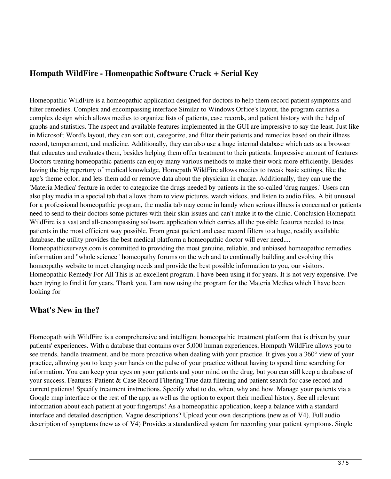# **Hompath WildFire - Homeopathic Software Crack + Serial Key**

Homeopathic WildFire is a homeopathic application designed for doctors to help them record patient symptoms and filter remedies. Complex and encompassing interface Similar to Windows Office's layout, the program carries a complex design which allows medics to organize lists of patients, case records, and patient history with the help of graphs and statistics. The aspect and available features implemented in the GUI are impressive to say the least. Just like in Microsoft Word's layout, they can sort out, categorize, and filter their patients and remedies based on their illness record, temperament, and medicine. Additionally, they can also use a huge internal database which acts as a browser that educates and evaluates them, besides helping them offer treatment to their patients. Impressive amount of features Doctors treating homeopathic patients can enjoy many various methods to make their work more efficiently. Besides having the big repertory of medical knowledge, Homepath WildFire allows medics to tweak basic settings, like the app's theme color, and lets them add or remove data about the physician in charge. Additionally, they can use the 'Materia Medica' feature in order to categorize the drugs needed by patients in the so-called 'drug ranges.' Users can also play media in a special tab that allows them to view pictures, watch videos, and listen to audio files. A bit unusual for a professional homeopathic program, the media tab may come in handy when serious illness is concerned or patients need to send to their doctors some pictures with their skin issues and can't make it to the clinic. Conclusion Homepath WildFire is a vast and all-encompassing software application which carries all the possible features needed to treat patients in the most efficient way possible. From great patient and case record filters to a huge, readily available database, the utility provides the best medical platform a homeopathic doctor will ever need.... Homeopathicsurveys.com is committed to providing the most genuine, reliable, and unbiased homeopathic remedies information and "whole science" homeopathy forums on the web and to continually building and evolving this homeopathy website to meet changing needs and provide the best possible information to you, our visitors. Homeopathic Remedy For All This is an excellent program. I have been using it for years. It is not very expensive. I've

#### **What's New in the?**

looking for

Homeopath with WildFire is a comprehensive and intelligent homeopathic treatment platform that is driven by your patients' experiences. With a database that contains over 5,000 human experiences, Hompath WildFire allows you to see trends, handle treatment, and be more proactive when dealing with your practice. It gives you a 360° view of your practice, allowing you to keep your hands on the pulse of your practice without having to spend time searching for information. You can keep your eyes on your patients and your mind on the drug, but you can still keep a database of your success. Features: Patient & Case Record Filtering True data filtering and patient search for case record and current patients! Specify treatment instructions. Specify what to do, when, why and how. Manage your patients via a Google map interface or the rest of the app, as well as the option to export their medical history. See all relevant information about each patient at your fingertips! As a homeopathic application, keep a balance with a standard interface and detailed description. Vague descriptions? Upload your own descriptions (new as of V4). Full audio description of symptoms (new as of V4) Provides a standardized system for recording your patient symptoms. Single

been trying to find it for years. Thank you. I am now using the program for the Materia Medica which I have been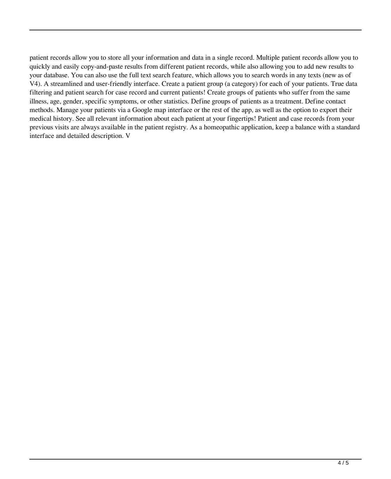patient records allow you to store all your information and data in a single record. Multiple patient records allow you to quickly and easily copy-and-paste results from different patient records, while also allowing you to add new results to your database. You can also use the full text search feature, which allows you to search words in any texts (new as of V4). A streamlined and user-friendly interface. Create a patient group (a category) for each of your patients. True data filtering and patient search for case record and current patients! Create groups of patients who suffer from the same illness, age, gender, specific symptoms, or other statistics. Define groups of patients as a treatment. Define contact methods. Manage your patients via a Google map interface or the rest of the app, as well as the option to export their medical history. See all relevant information about each patient at your fingertips! Patient and case records from your previous visits are always available in the patient registry. As a homeopathic application, keep a balance with a standard interface and detailed description. V